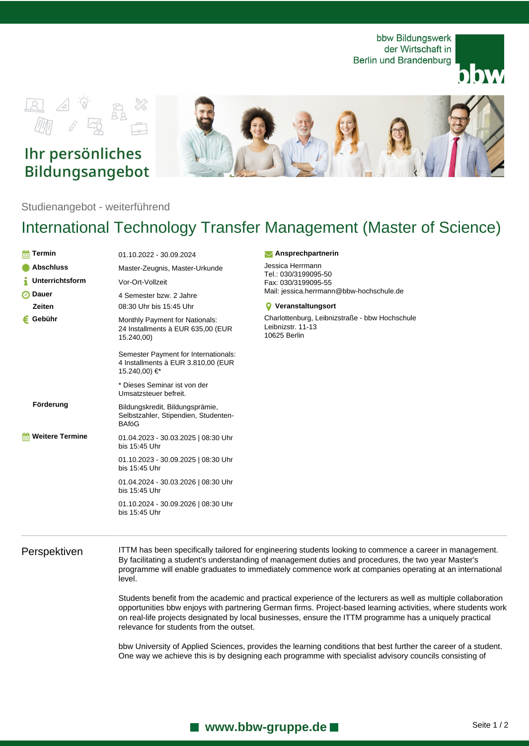bbw Bildungswerk der Wirtschaft in Berlin und Brandenburg





## Ihr persönliches Bildungsangebot



Studienangebot - weiterführend

# International Technology Transfer Management (Master of Science)

| Termin<br>m            | 01.10.2022 - 30.09.2024                                                                     |  |
|------------------------|---------------------------------------------------------------------------------------------|--|
| <b>Abschluss</b>       | Master-Zeugnis, Master-Urkunde                                                              |  |
| <b>Unterrichtsform</b> | Vor-Ort-Vollzeit                                                                            |  |
| <b>Dauer</b><br>ω      | 4 Semester bzw. 2 Jahre                                                                     |  |
| Zeiten                 | 08:30 Uhr bis 15:45 Uhr                                                                     |  |
| Gebühr                 | Monthly Payment for Nationals:<br>24 Installments à EUR 635,00 (EUR<br>15.240,00)           |  |
|                        | Semester Payment for Internationals:<br>4 Installments à EUR 3.810,00 (EUR<br>15.240,00) €* |  |
|                        | * Dieses Seminar ist von der<br>Umsatzsteuer befreit.                                       |  |
| Förderung              | Bildungskredit, Bildungsprämie,<br>Selbstzahler, Stipendien, Studenten-<br><b>BAfoG</b>     |  |
| <b>Weitere Termine</b> | 01.04.2023 - 30.03.2025   08:30 Uhr<br>bis 15:45 Uhr                                        |  |
|                        | 01.10.2023 - 30.09.2025   08:30 Uhr<br>bis 15:45 Uhr                                        |  |
|                        | 01.04.2024 - 30.03.2026   08:30 Uhr<br>bis 15:45 Uhr                                        |  |
|                        | 01.10.2024 - 30.09.2026   08:30 Uhr<br>bis 15:45 Uhr                                        |  |
|                        |                                                                                             |  |

### **Ansprechpartnerin**

Jessica Herrmann Tel.: 030/3199095-50 Fax: 030/3199095-55 Mail: jessica.herrmann@bbw-hochschule.de

### **Veranstaltungsort**

Charlottenburg, Leibnizstraße - bbw Hochschule Leibnizstr. 11-13 10625 Berlin

Perspektiven ITTM has been specifically tailored for engineering students looking to commence a career in management. By facilitating a student's understanding of management duties and procedures, the two year Master's programme will enable graduates to immediately commence work at companies operating at an international level.

> Students benefit from the academic and practical experience of the lecturers as well as multiple collaboration opportunities bbw enjoys with partnering German firms. Project-based learning activities, where students work on real-life projects designated by local businesses, ensure the ITTM programme has a uniquely practical relevance for students from the outset.

bbw University of Applied Sciences, provides the learning conditions that best further the career of a student. One way we achieve this is by designing each programme with specialist advisory councils consisting of

## **Now W. bbw-gruppe.de Department Control Control Seite 1/2**